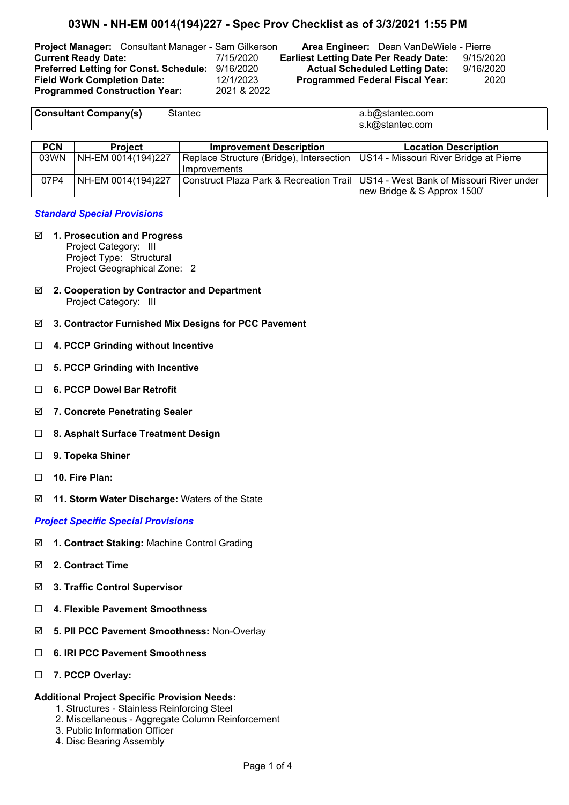## **03WN - NH-EM 0014(194)227 - Spec Prov Checklist as of 3/3/2021 1:55 PM**

**Programmed Construction Year:** 2021 & 2022

**Project Manager:** Consultant Manager - Sam Gilkerson **Area Engineer:** Dean VanDeWiele - Pierre **Current Ready Date:** 7/15/2020 **Earliest Letting Date Per Ready Date:** 9/15/2020 **Preferred Letting for Const. Schedule:** 9/16/2020 **Actual Scheduled Letting Date:** 9/16/2020 **Field Work Completion Date:** 12/1/2023 **Programmed Federal Fiscal Year:** 2020

| .<br>.<br>$ -$ | $\sim$ $\sim$ $\sim$ $\sim$<br>нес<br>הונ | .com<br>a.b@stantec.       |
|----------------|-------------------------------------------|----------------------------|
|                |                                           | com<br>11 <del>. .</del> 1 |
|                |                                           |                            |

| <b>PCN</b> | <b>Project</b>     | <b>Improvement Description</b>                                                    | <b>Location Description</b>                                                        |
|------------|--------------------|-----------------------------------------------------------------------------------|------------------------------------------------------------------------------------|
| 03WN       | NH-EM 0014(194)227 | Replace Structure (Bridge), Intersection   US14 - Missouri River Bridge at Pierre |                                                                                    |
|            |                    | Improvements                                                                      |                                                                                    |
| 07P4       | NH-EM 0014(194)227 |                                                                                   | Construct Plaza Park & Recreation Trail   US14 - West Bank of Missouri River under |
|            |                    |                                                                                   | new Bridge & S Approx 1500'                                                        |

#### *Standard Special Provisions*

- þ **1. Prosecution and Progress** Project Category: III Project Type: Structural Project Geographical Zone: 2
- þ **2. Cooperation by Contractor and Department** Project Category: III
- þ **3. Contractor Furnished Mix Designs for PCC Pavement**
- ¨ **4. PCCP Grinding without Incentive**
- ¨ **5. PCCP Grinding with Incentive**
- ¨ **6. PCCP Dowel Bar Retrofit**
- þ **7. Concrete Penetrating Sealer**
- ¨ **8. Asphalt Surface Treatment Design**
- ¨ **9. Topeka Shiner**
- □ **10. Fire Plan:**
- þ **11. Storm Water Discharge:** Waters of the State

#### *Project Specific Special Provisions*

- þ **1. Contract Staking:** Machine Control Grading
- þ **2. Contract Time**
- þ **3. Traffic Control Supervisor**
- ¨ **4. Flexible Pavement Smoothness**
- þ **5. PII PCC Pavement Smoothness:** Non-Overlay
- ¨ **6. IRI PCC Pavement Smoothness**
- ¨ **7. PCCP Overlay:**

#### **Additional Project Specific Provision Needs:**

- 1. Structures Stainless Reinforcing Steel
- 2. Miscellaneous Aggregate Column Reinforcement
- 3. Public Information Officer
- 4. Disc Bearing Assembly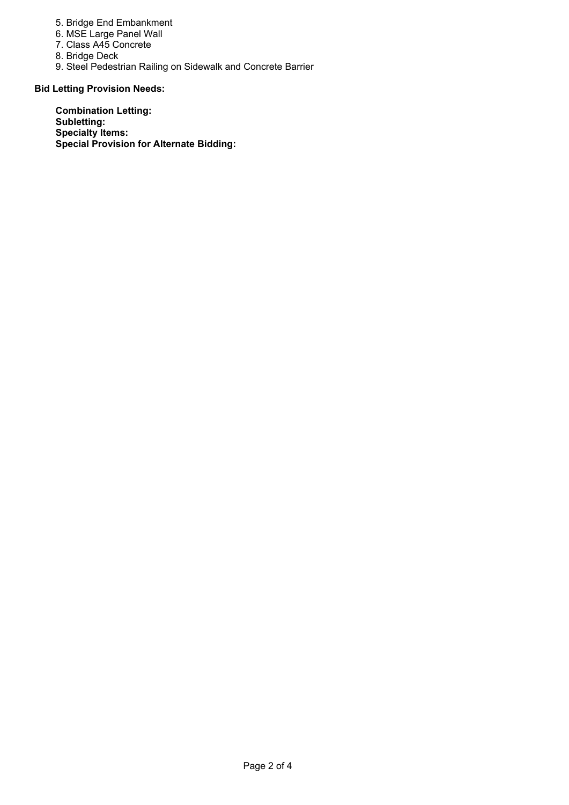- 5. Bridge End Embankment
- 6. MSE Large Panel Wall
- 7. Class A45 Concrete
- 8. Bridge Deck
- 9. Steel Pedestrian Railing on Sidewalk and Concrete Barrier

### **Bid Letting Provision Needs:**

**Combination Letting: Subletting: Specialty Items: Special Provision for Alternate Bidding:**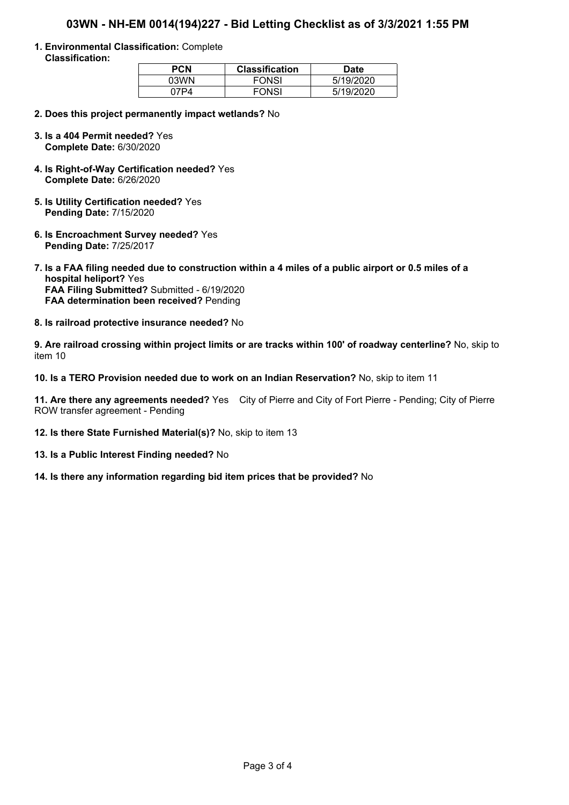# **03WN - NH-EM 0014(194)227 - Bid Letting Checklist as of 3/3/2021 1:55 PM**

**1. Environmental Classification:** Complete **Classification:**

| PCN    | <b>Classification</b> | Date      |
|--------|-----------------------|-----------|
| 03WN   | <b>FONSI</b>          | 5/19/2020 |
| 17 P 4 | <b>FONSI</b>          | 5/19/2020 |

- **2. Does this project permanently impact wetlands?** No
- **3. Is a 404 Permit needed?** Yes **Complete Date:** 6/30/2020
- **4. Is Right-of-Way Certification needed?** Yes **Complete Date:** 6/26/2020
- **5. Is Utility Certification needed?** Yes **Pending Date:** 7/15/2020
- **6. Is Encroachment Survey needed?** Yes **Pending Date:** 7/25/2017
- **7. Is a FAA filing needed due to construction within a 4 miles of a public airport or 0.5 miles of a hospital heliport?** Yes **FAA Filing Submitted?** Submitted - 6/19/2020 **FAA determination been received?** Pending
- **8. Is railroad protective insurance needed?** No

**9. Are railroad crossing within project limits or are tracks within 100' of roadway centerline?** No, skip to item 10

**10. Is a TERO Provision needed due to work on an Indian Reservation?** No, skip to item 11

**11. Are there any agreements needed?** Yes City of Pierre and City of Fort Pierre - Pending; City of Pierre ROW transfer agreement - Pending

- **12. Is there State Furnished Material(s)?** No, skip to item 13
- **13. Is a Public Interest Finding needed?** No
- **14. Is there any information regarding bid item prices that be provided?** No